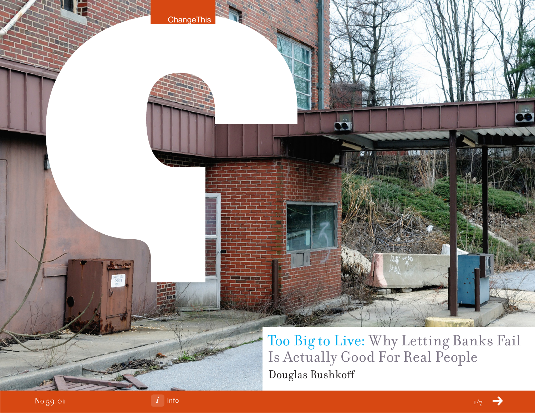

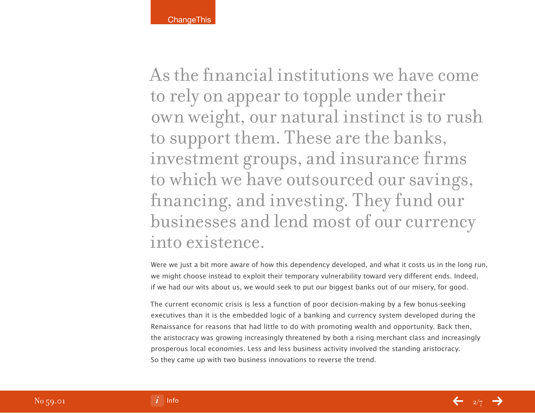As the financial institutions we have come to rely on appear to topple under their own weight, our natural instinct is to rush to support them. These are the banks, investment groups, and insurance firms to which we have outsourced our savings, financing, and investing. They fund our businesses and lend most of our currency into existence.

Were we just a bit more aware of how this dependency developed, and what it costs us in the long run, we might choose instead to exploit their temporary vulnerability toward very different ends. Indeed, if we had our wits about us, we would seek to put our biggest banks out of our misery, for good.

The current economic crisis is less a function of poor decision-making by a few bonus-seeking executives than it is the embedded logic of a banking and currency system developed during the Renaissance for reasons that had little to do with promoting wealth and opportunity. Back then, the aristocracy was growing increasingly threatened by both a rising merchant class and increasingly prosperous local economies. Less and less business activity involved the standing aristocracy. So they came up with two business innovations to reverse the trend.

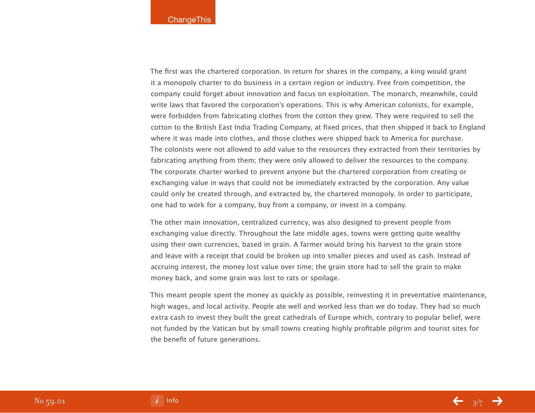The first was the chartered corporation. In return for shares in the company, a king would grant it a monopoly charter to do business in a certain region or industry. Free from competition, the company could forget about innovation and focus on exploitation. The monarch, meanwhile, could write laws that favored the corporation's operations. This is why American colonists, for example, were forbidden from fabricating clothes from the cotton they grew. They were required to sell the cotton to the British East India Trading Company, at fixed prices, that then shipped it back to England where it was made into clothes, and those clothes were shipped back to America for purchase. The colonists were not allowed to add value to the resources they extracted from their territories by fabricating anything from them; they were only allowed to deliver the resources to the company. The corporate charter worked to prevent anyone but the chartered corporation from creating or exchanging value in ways that could not be immediately extracted by the corporation. Any value could only be created through, and extracted by, the chartered monopoly. In order to participate, one had to work for a company, buy from a company, or invest in a company.

The other main innovation, centralized currency, was also designed to prevent people from exchanging value directly. Throughout the late middle ages, towns were getting quite wealthy using their own currencies, based in grain. A farmer would bring his harvest to the grain store and leave with a receipt that could be broken up into smaller pieces and used as cash. Instead of accruing interest, the money lost value over time; the grain store had to sell the grain to make money back, and some grain was lost to rats or spoilage.

This meant people spent the money as quickly as possible, reinvesting it in preventative maintenance, high wages, and local activity. People ate well and worked less than we do today. They had so much extra cash to invest they built the great cathedrals of Europe which, contrary to popular belief, were not funded by the Vatican but by small towns creating highly profitable pilgrim and tourist sites for the benefit of future generations.



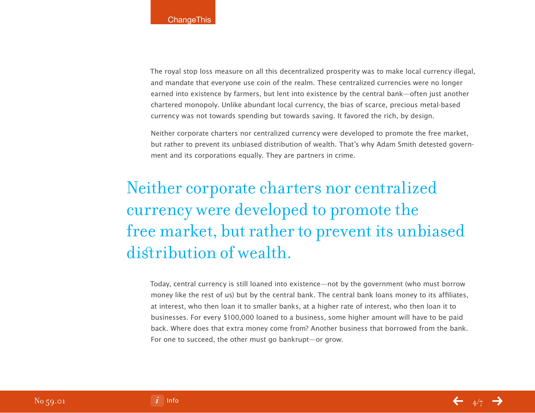The royal stop loss measure on all this decentralized prosperity was to make local currency illegal, and mandate that everyone use coin of the realm. These centralized currencies were no longer earned into existence by farmers, but lent into existence by the central bank—often just another chartered monopoly. Unlike abundant local currency, the bias of scarce, precious metal-based currency was not towards spending but towards saving. It favored the rich, by design.

Neither corporate charters nor centralized currency were developed to promote the free market, but rather to prevent its unbiased distribution of wealth. That's why Adam Smith detested government and its corporations equally. They are partners in crime.

# Neither corporate charters nor centralized currency were developed to promote the free market, but rather to prevent its unbiased distribution of wealth.

Today, central currency is still loaned into existence—not by the government (who must borrow money like the rest of us) but by the central bank. The central bank loans money to its affiliates, at interest, who then loan it to smaller banks, at a higher rate of interest, who then loan it to businesses. For every \$100,000 loaned to a business, some higher amount will have to be paid back. Where does that extra money come from? Another business that borrowed from the bank. For one to succeed, the other must go bankrupt—or grow.

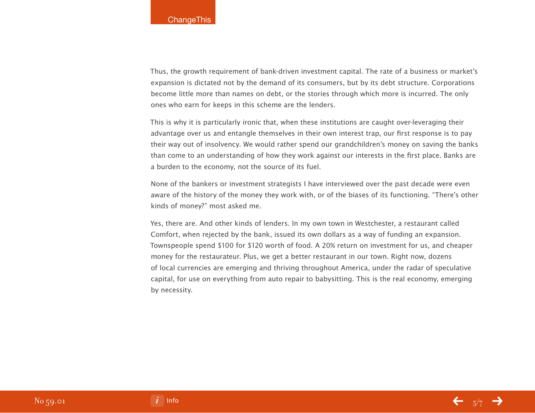Thus, the growth requirement of bank-driven investment capital. The rate of a business or market's expansion is dictated not by the demand of its consumers, but by its debt structure. Corporations become little more than names on debt, or the stories through which more is incurred. The only ones who earn for keeps in this scheme are the lenders.

This is why it is particularly ironic that, when these institutions are caught over-leveraging their advantage over us and entangle themselves in their own interest trap, our first response is to pay their way out of insolvency. We would rather spend our grandchildren's money on saving the banks than come to an understanding of how they work against our interests in the first place. Banks are a burden to the economy, not the source of its fuel.

None of the bankers or investment strategists I have interviewed over the past decade were even aware of the history of the money they work with, or of the biases of its functioning. "There's other kinds of money?" most asked me.

Yes, there are. And other kinds of lenders. In my own town in Westchester, a restaurant called Comfort, when rejected by the bank, issued its own dollars as a way of funding an expansion. Townspeople spend \$100 for \$120 worth of food. A 20% return on investment for us, and cheaper money for the restaurateur. Plus, we get a better restaurant in our town. Right now, dozens of local currencies are emerging and thriving throughout America, under the radar of speculative capital, for use on everything from auto repair to babysitting. This is the real economy, emerging by necessity.

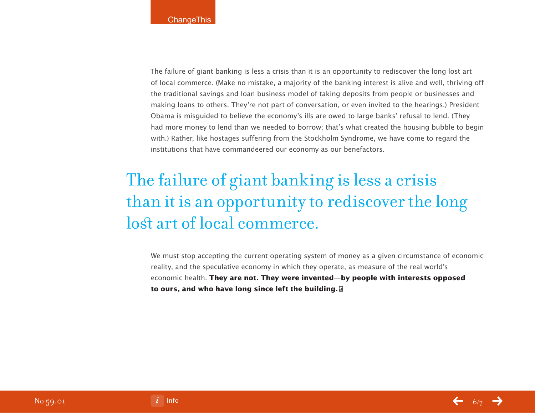The failure of giant banking is less a crisis than it is an opportunity to rediscover the long lost art of local commerce. (Make no mistake, a majority of the banking interest is alive and well, thriving off the traditional savings and loan business model of taking deposits from people or businesses and making loans to others. They're not part of conversation, or even invited to the hearings.) President Obama is misguided to believe the economy's ills are owed to large banks' refusal to lend. (They had more money to lend than we needed to borrow; that's what created the housing bubble to begin with.) Rather, like hostages suffering from the Stockholm Syndrome, we have come to regard the institutions that have commandeered our economy as our benefactors.

# The failure of giant banking is less a crisis than it is an opportunity to rediscover the long lost art of local commerce.

We must stop accepting the current operating system of money as a given circumstance of economic reality, and the speculative economy in which they operate, as measure of the real world's economic health. **They are not. They were invented—by people with interests opposed to ours, and who have long since left the building.**